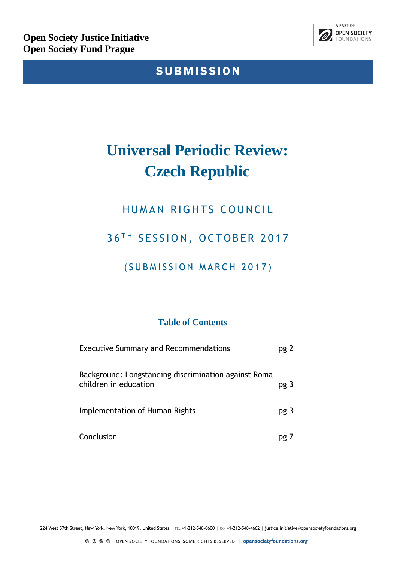

# SUBMISSION

# **Universal Periodic Review: Czech Republic**

# HUMAN RIGHTS COUNCIL

# 36<sup>TH</sup> SESSION, OCTOBER 2017

### (SUBMISSION MARCH 2017)

### **Table of Contents**

| <b>Executive Summary and Recommendations</b>                                  | pg 2 |
|-------------------------------------------------------------------------------|------|
| Background: Longstanding discrimination against Roma<br>children in education | pg 3 |
| Implementation of Human Rights                                                | pg 3 |
| Conclusion                                                                    |      |

224 West 57th Street, New York, New York, 10019, United States | TEL +1-212-548-0600 | FAX +1-212-548-4662 | justice.initiative@opensocietyfoundations.org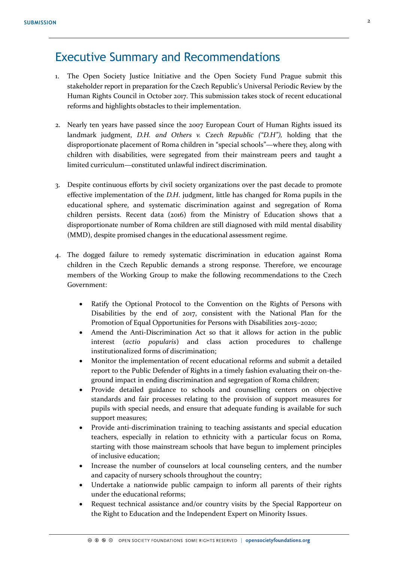### Executive Summary and Recommendations

- 1. The Open Society Justice Initiative and the Open Society Fund Prague submit this stakeholder report in preparation for the Czech Republic's Universal Periodic Review by the Human Rights Council in October 2017. This submission takes stock of recent educational reforms and highlights obstacles to their implementation.
- 2. Nearly ten years have passed since the 2007 European Court of Human Rights issued its landmark judgment, *D.H. and Others v. Czech Republic ("D.H"),* holding that the disproportionate placement of Roma children in "special schools"—where they, along with children with disabilities, were segregated from their mainstream peers and taught a limited curriculum—constituted unlawful indirect discrimination.
- 3. Despite continuous efforts by civil society organizations over the past decade to promote effective implementation of the *D.H*. judgment, little has changed for Roma pupils in the educational sphere, and systematic discrimination against and segregation of Roma children persists. Recent data (2016) from the Ministry of Education shows that a disproportionate number of Roma children are still diagnosed with mild mental disability (MMD), despite promised changes in the educational assessment regime.
- 4. The dogged failure to remedy systematic discrimination in education against Roma children in the Czech Republic demands a strong response. Therefore, we encourage members of the Working Group to make the following recommendations to the Czech Government:
	- Ratify the Optional Protocol to the Convention on the Rights of Persons with Disabilities by the end of 2017, consistent with the National Plan for the Promotion of Equal Opportunities for Persons with Disabilities 2015–2020;
	- Amend the Anti-Discrimination Act so that it allows for action in the public interest (*actio popularis*) and class action procedures to challenge institutionalized forms of discrimination;
	- Monitor the implementation of recent educational reforms and submit a detailed report to the Public Defender of Rights in a timely fashion evaluating their on-theground impact in ending discrimination and segregation of Roma children;
	- Provide detailed guidance to schools and counselling centers on objective standards and fair processes relating to the provision of support measures for pupils with special needs, and ensure that adequate funding is available for such support measures;
	- Provide anti-discrimination training to teaching assistants and special education teachers, especially in relation to ethnicity with a particular focus on Roma, starting with those mainstream schools that have begun to implement principles of inclusive education;
	- Increase the number of counselors at local counseling centers, and the number and capacity of nursery schools throughout the country;
	- Undertake a nationwide public campaign to inform all parents of their rights under the educational reforms;
	- Request technical assistance and/or country visits by the Special Rapporteur on the Right to Education and the Independent Expert on Minority Issues.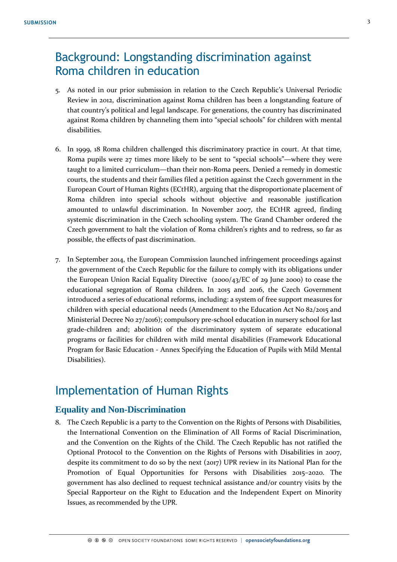# Background: Longstanding discrimination against Roma children in education

- 5. As noted in our prior submission in relation to the Czech Republic's Universal Periodic Review in 2012, discrimination against Roma children has been a longstanding feature of that country's political and legal landscape. For generations, the country has discriminated against Roma children by channeling them into "special schools" for children with mental disabilities.
- 6. In 1999, 18 Roma children challenged this discriminatory practice in court. At that time, Roma pupils were 27 times more likely to be sent to "special schools"—where they were taught to a limited curriculum—than their non-Roma peers. Denied a remedy in domestic courts, the students and their families filed a petition against the Czech government in the European Court of Human Rights (ECtHR), arguing that the disproportionate placement of Roma children into special schools without objective and reasonable justification amounted to unlawful discrimination. In November 2007, the ECtHR agreed, finding systemic discrimination in the Czech schooling system. The Grand Chamber ordered the Czech government to halt the violation of Roma children's rights and to redress, so far as possible, the effects of past discrimination.
- 7. In September 2014, the European Commission launched infringement proceedings against the government of the Czech Republic for the failure to comply with its obligations under the European Union Racial Equality Directive (2000/43/EC of 29 June 2000) to cease the educational segregation of Roma children. In 2015 and 2016, the Czech Government introduced a series of educational reforms, including: a system of free support measures for children with special educational needs (Amendment to the Education Act No 82/2015 and Ministerial Decree No 27/2016); compulsory pre-school education in nursery school for last grade-children and; abolition of the discriminatory system of separate educational programs or facilities for children with mild mental disabilities (Framework Educational Program for Basic Education - Annex Specifying the Education of Pupils with Mild Mental Disabilities).

### Implementation of Human Rights

#### **Equality and Non-Discrimination**

8. The Czech Republic is a party to the Convention on the Rights of Persons with Disabilities, the International Convention on the Elimination of All Forms of Racial Discrimination, and the Convention on the Rights of the Child. The Czech Republic has not ratified the Optional Protocol to the Convention on the Rights of Persons with Disabilities in 2007, despite its commitment to do so by the next (2017) UPR review in its National Plan for the Promotion of Equal Opportunities for Persons with Disabilities 2015–2020. The government has also declined to request technical assistance and/or country visits by the Special Rapporteur on the Right to Education and the Independent Expert on Minority Issues, as recommended by the UPR.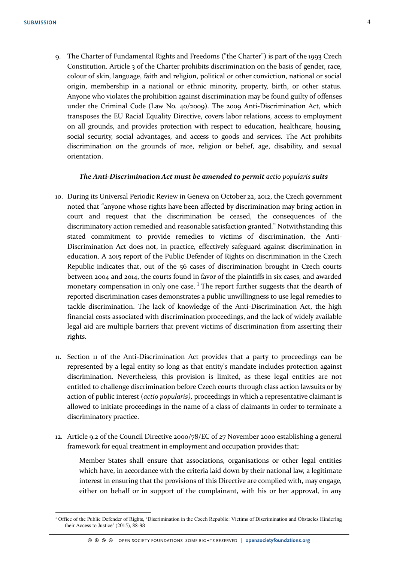<u>.</u>

9. The Charter of Fundamental Rights and Freedoms ("the Charter") is part of the 1993 Czech Constitution. Article 3 of the Charter prohibits discrimination on the basis of gender, race, colour of skin, language, faith and religion, political or other conviction, national or social origin, membership in a national or ethnic minority, property, birth, or other status. Anyone who violates the prohibition against discrimination may be found guilty of offenses under the Criminal Code (Law No. 40/2009). The 2009 Anti-Discrimination Act, which transposes the EU Racial Equality Directive, covers labor relations, access to employment on all grounds, and provides protection with respect to education, healthcare, housing, social security, social advantages, and access to goods and services. The Act prohibits discrimination on the grounds of race, religion or belief, age, disability, and sexual orientation.

#### *The Anti-Discrimination Act must be amended to permit actio popularis suits*

- 10. During its Universal Periodic Review in Geneva on October 22, 2012, the Czech government noted that "anyone whose rights have been affected by discrimination may bring action in court and request that the discrimination be ceased, the consequences of the discriminatory action remedied and reasonable satisfaction granted." Notwithstanding this stated commitment to provide remedies to victims of discrimination, the Anti-Discrimination Act does not, in practice, effectively safeguard against discrimination in education. A 2015 report of the Public Defender of Rights on discrimination in the Czech Republic indicates that, out of the 56 cases of discrimination brought in Czech courts between 2004 and 2014, the courts found in favor of the plaintiffs in six cases, and awarded monetary compensation in only one case.<sup>1</sup> The report further suggests that the dearth of reported discrimination cases demonstrates a public unwillingness to use legal remedies to tackle discrimination. The lack of knowledge of the Anti-Discrimination Act, the high financial costs associated with discrimination proceedings, and the lack of widely available legal aid are multiple barriers that prevent victims of discrimination from asserting their rights.
- 11. Section 11 of the Anti-Discrimination Act provides that a party to proceedings can be represented by a legal entity so long as that entity's mandate includes protection against discrimination. Nevertheless, this provision is limited, as these legal entities are not entitled to challenge discrimination before Czech courts through class action lawsuits or by action of public interest (*actio popularis)*, proceedings in which a representative claimant is allowed to initiate proceedings in the name of a class of claimants in order to terminate a discriminatory practice.
- 12. Article 9.2 of the Council Directive 2000/78/EC of 27 November 2000 establishing a general framework for equal treatment in employment and occupation provides that:

Member States shall ensure that associations, organisations or other legal entities which have, in accordance with the criteria laid down by their national law, a legitimate interest in ensuring that the provisions of this Directive are complied with, may engage, either on behalf or in support of the complainant, with his or her approval, in any

<sup>&</sup>lt;sup>1</sup> Office of the Public Defender of Rights, 'Discrimination in the Czech Republic: Victims of Discrimination and Obstacles Hindering their Access to Justice' (2015), 88-98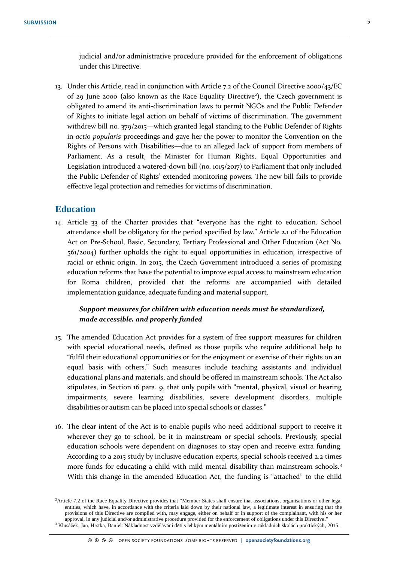13. Under this Article, read in conjunction with Article 7.2 of the Council Directive 2000/43/EC of 29 June 2000 (also known as the Race Equality Directive<sup>2</sup>), the Czech government is obligated to amend its anti-discrimination laws to permit NGOs and the Public Defender of Rights to initiate legal action on behalf of victims of discrimination. The government withdrew bill no. 379/2015—which granted legal standing to the Public Defender of Rights in *actio popularis* proceedings and gave her the power to monitor the Convention on the Rights of Persons with Disabilities—due to an alleged lack of support from members of Parliament. As a result, the Minister for Human Rights, Equal Opportunities and Legislation introduced a watered-down bill (no. 1015/2017) to Parliament that only included the Public Defender of Rights' extended monitoring powers. The new bill fails to provide effective legal protection and remedies for victims of discrimination.

#### **Education**

<u>.</u>

14. Article 33 of the Charter provides that "everyone has the right to education. School attendance shall be obligatory for the period specified by law." Article 2.1 of the Education Act on Pre-School, Basic, Secondary, Tertiary Professional and Other Education (Act No. 561/2004) further upholds the right to equal opportunities in education, irrespective of racial or ethnic origin. In 2015, the Czech Government introduced a series of promising education reforms that have the potential to improve equal access to mainstream education for Roma children, provided that the reforms are accompanied with detailed implementation guidance, adequate funding and material support.

#### *Support measures for children with education needs must be standardized, made accessible, and properly funded*

- 15. The amended Education Act provides for a system of free support measures for children with special educational needs, defined as those pupils who require additional help to "fulfil their educational opportunities or for the enjoyment or exercise of their rights on an equal basis with others." Such measures include teaching assistants and individual educational plans and materials, and should be offered in mainstream schools. The Act also stipulates, in Section 16 para. 9, that only pupils with "mental, physical, visual or hearing impairments, severe learning disabilities, severe development disorders, multiple disabilities or autism can be placed into special schools or classes."
- 16. The clear intent of the Act is to enable pupils who need additional support to receive it wherever they go to school, be it in mainstream or special schools. Previously, special education schools were dependent on diagnoses to stay open and receive extra funding. According to a 2015 study by inclusive education experts, special schools received 2.2 times more funds for educating a child with mild mental disability than mainstream schools.<sup>3</sup> With this change in the amended Education Act, the funding is "attached" to the child

<sup>&</sup>lt;sup>2</sup>Article 7.2 of the Race Equality Directive provides that "Member States shall ensure that associations, organisations or other legal entities, which have, in accordance with the criteria laid down by their national law, a legitimate interest in ensuring that the provisions of this Directive are complied with, may engage, either on behalf or in support of the complainant, with his or her approval, in any judicial and/or administrative procedure provided for the enforcement of obligations under this Directive." <sup>3</sup> Klusáček, Jan, Hrstka, Daniel: Nákladnost vzdělávání dětí s lehkým mentálním postižením v základních školách praktických, 2015.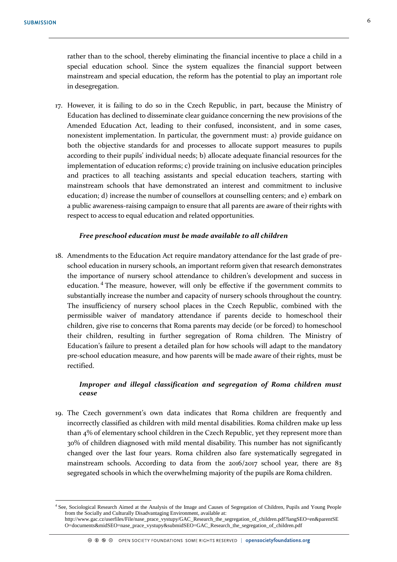<u>.</u>

rather than to the school, thereby eliminating the financial incentive to place a child in a special education school. Since the system equalizes the financial support between mainstream and special education, the reform has the potential to play an important role in desegregation.

17. However, it is failing to do so in the Czech Republic, in part, because the Ministry of Education has declined to disseminate clear guidance concerning the new provisions of the Amended Education Act, leading to their confused, inconsistent, and in some cases, nonexistent implementation. In particular, the government must: a) provide guidance on both the objective standards for and processes to allocate support measures to pupils according to their pupils' individual needs; b) allocate adequate financial resources for the implementation of education reforms; c) provide training on inclusive education principles and practices to all teaching assistants and special education teachers, starting with mainstream schools that have demonstrated an interest and commitment to inclusive education; d) increase the number of counsellors at counselling centers; and e) embark on a public awareness-raising campaign to ensure that all parents are aware of their rights with respect to access to equal education and related opportunities.

#### *Free preschool education must be made available to all children*

18. Amendments to the Education Act require mandatory attendance for the last grade of preschool education in nursery schools, an important reform given that research demonstrates the importance of nursery school attendance to children's development and success in education.<sup>4</sup> The measure, however, will only be effective if the government commits to substantially increase the number and capacity of nursery schools throughout the country. The insufficiency of nursery school places in the Czech Republic, combined with the permissible waiver of mandatory attendance if parents decide to homeschool their children, give rise to concerns that Roma parents may decide (or be forced) to homeschool their children, resulting in further segregation of Roma children. The Ministry of Education's failure to present a detailed plan for how schools will adapt to the mandatory pre-school education measure, and how parents will be made aware of their rights, must be rectified.

#### *Improper and illegal classification and segregation of Roma children must cease*

19. The Czech government's own data indicates that Roma children are frequently and incorrectly classified as children with mild mental disabilities. Roma children make up less than 4% of elementary school children in the Czech Republic, yet they represent more than 30% of children diagnosed with mild mental disability. This number has not significantly changed over the last four years. Roma children also fare systematically segregated in mainstream schools. According to data from the 2016/2017 school year, there are 83 segregated schools in which the overwhelming majority of the pupils are Roma children.

<sup>4</sup> See, Sociological Research Aimed at the Analysis of the Image and Causes of Segregation of Children, Pupils and Young People from the Socially and Culturally Disadvantaging Environment, available at: http://www.gac.cz/userfiles/File/nase\_prace\_vystupy/GAC\_Research\_the\_segregation\_of\_children.pdf?langSEO=en&parentSE O=documents&midSEO=nase\_prace\_vystupy&submidSEO=GAC\_Research\_the\_segregation\_of\_children.pdf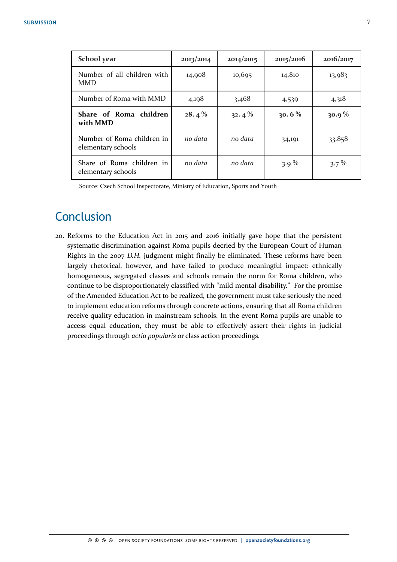| School year                                      | 2013/2014 | 2014/2015 | 2015/2016 | 2016/2017 |
|--------------------------------------------------|-----------|-----------|-----------|-----------|
| Number of all children with<br>MMD.              | 14,908    | 10,695    | 14,810    | 13,983    |
| Number of Roma with MMD                          | 4,198     | 3,468     | 4,539     | 4,318     |
| Share of Roma children<br>with MMD               | 28.4%     | $32.4\%$  | 30.6%     | $30.9\%$  |
| Number of Roma children in<br>elementary schools | no data   | no data   | 34,191    | 33,858    |
| Share of Roma children in<br>elementary schools  | no data   | no data   | 3.9 $%$   | $3.7\%$   |

Source: Czech School Inspectorate, Ministry of Education, Sports and Youth

### **Conclusion**

20. Reforms to the Education Act in 2015 and 2016 initially gave hope that the persistent systematic discrimination against Roma pupils decried by the European Court of Human Rights in the 2007 *D.H.* judgment might finally be eliminated. These reforms have been largely rhetorical, however, and have failed to produce meaningful impact: ethnically homogeneous, segregated classes and schools remain the norm for Roma children, who continue to be disproportionately classified with "mild mental disability." For the promise of the Amended Education Act to be realized, the government must take seriously the need to implement education reforms through concrete actions, ensuring that all Roma children receive quality education in mainstream schools. In the event Roma pupils are unable to access equal education, they must be able to effectively assert their rights in judicial proceedings through *actio popularis* or class action proceedings.